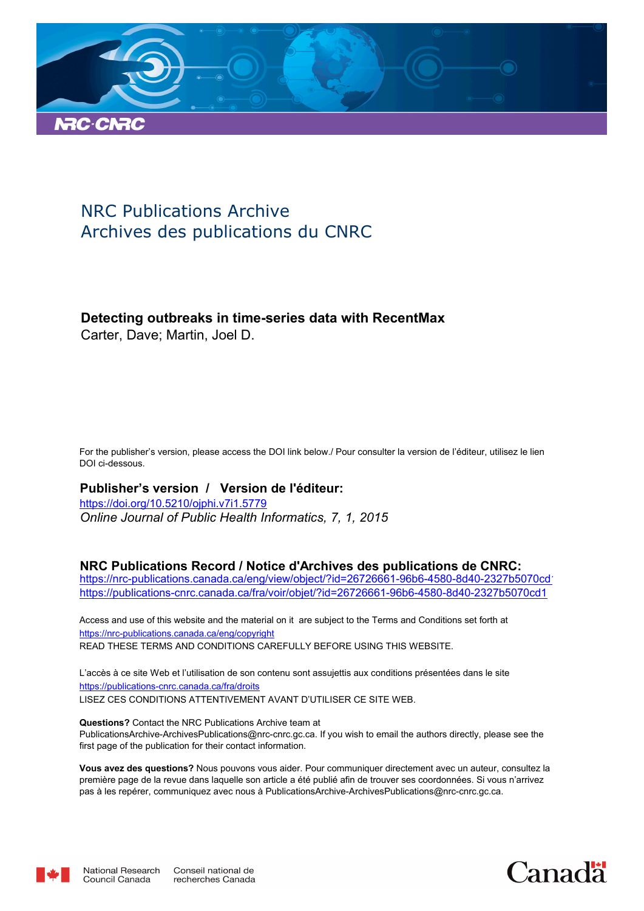

# NRC Publications Archive Archives des publications du CNRC

# **Detecting outbreaks in time-series data with RecentMax**

Carter, Dave; Martin, Joel D.

For the publisher's version, please access the DOI link below./ Pour consulter la version de l'éditeur, utilisez le lien DOI ci-dessous.

# **Publisher's version / Version de l'éditeur:**

*Online Journal of Public Health Informatics, 7, 1, 2015* https://doi.org/10.5210/ojphi.v7i1.5779

# **NRC Publications Record / Notice d'Archives des publications de CNRC:**

https://nrc-publications.canada.ca/eng/view/object/?id=26726661-96b6-4580-8d40-2327b5070cd https://publications-cnrc.canada.ca/fra/voir/objet/?id=26726661-96b6-4580-8d40-2327b5070cd1

READ THESE TERMS AND CONDITIONS CAREFULLY BEFORE USING THIS WEBSITE. https://nrc-publications.canada.ca/eng/copyright Access and use of this website and the material on it are subject to the Terms and Conditions set forth at

https://publications-cnrc.canada.ca/fra/droits L'accès à ce site Web et l'utilisation de son contenu sont assujettis aux conditions présentées dans le site LISEZ CES CONDITIONS ATTENTIVEMENT AVANT D'UTILISER CE SITE WEB.

**Questions?** Contact the NRC Publications Archive team at PublicationsArchive-ArchivesPublications@nrc-cnrc.gc.ca. If you wish to email the authors directly, please see the first page of the publication for their contact information.

**Vous avez des questions?** Nous pouvons vous aider. Pour communiquer directement avec un auteur, consultez la première page de la revue dans laquelle son article a été publié afin de trouver ses coordonnées. Si vous n'arrivez pas à les repérer, communiquez avec nous à PublicationsArchive-ArchivesPublications@nrc-cnrc.gc.ca.